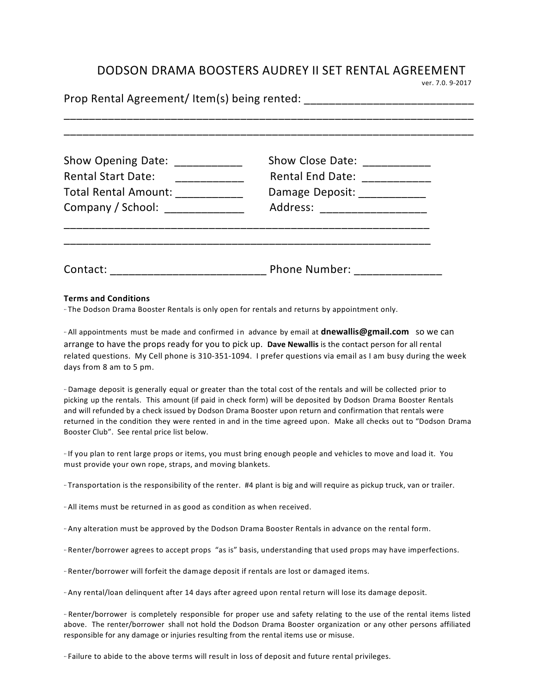## DODSON DRAMA BOOSTERS AUDREY II SET RENTAL AGREEMENT<br>
ver. 7.0. 9-2017

| Show Opening Date: ____________   | Show Close Date: ____________ |  |  |  |
|-----------------------------------|-------------------------------|--|--|--|
| <b>Rental Start Date:</b>         | Rental End Date: ____________ |  |  |  |
| Total Rental Amount: ____________ | Damage Deposit: _____________ |  |  |  |
| Company / School: ______________  | Address: ____________________ |  |  |  |
|                                   |                               |  |  |  |
|                                   |                               |  |  |  |

## **Terms and Conditions**

·· The Dodson Drama Booster Rentals is only open for rentals and returns by appointment only.

·· All appointments must be made and confirmed in advance by email at **dnewallis@gmail.com** so we can arrange to have the props ready for you to pick up. Dave Newallis is the contact person for all rental related questions. My Cell phone is 310-351-1094. I prefer questions via email as I am busy during the week days from 8 am to 5 pm.

·· Damage deposit is generally equal or greater than the total cost of the rentals and will be collected prior to picking up the rentals. This amount (if paid in check form) will be deposited by Dodson Drama Booster Rentals and will refunded by a check issued by Dodson Drama Booster upon return and confirmation that rentals were returned in the condition they were rented in and in the time agreed upon. Make all checks out to "Dodson Drama Booster Club". See rental price list below.

·· If you plan to rent large props or items, you must bring enough people and vehicles to move and load it. You must provide your own rope, straps, and moving blankets.

·· Transportation is the responsibility of the renter. #4 plant is big and will require as pickup truck, van or trailer. 

·· All items must be returned in as good as condition as when received. 

·· Any alteration must be approved by the Dodson Drama Booster Rentals in advance on the rental form.

·· Renter/borrower agrees to accept props "as is" basis, understanding that used props may have imperfections.

·· Renter/borrower will forfeit the damage deposit if rentals are lost or damaged items. 

·· Any rental/loan delinquent after 14 days after agreed upon rental return will lose its damage deposit. 

·· Renter/borrower is completely responsible for proper use and safety relating to the use of the rental items listed above. The renter/borrower shall not hold the Dodson Drama Booster organization or any other persons affiliated responsible for any damage or injuries resulting from the rental items use or misuse.

·· Failure to abide to the above terms will result in loss of deposit and future rental privileges.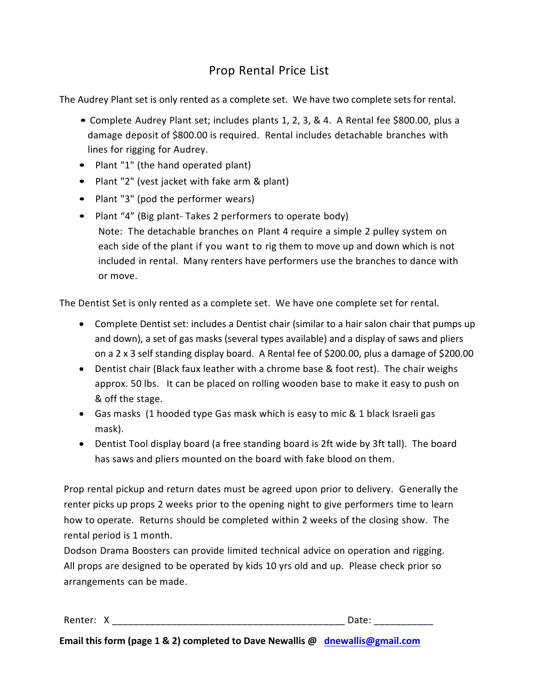## Prop Rental Price List

The Audrey Plant set is only rented as a complete set. We have two complete sets for rental.

- Complete Audrey Plant set; includes plants 1, 2, 3, & 4. A Rental fee \$800.00, plus a damage deposit of \$800.00 is required. Rental includes detachable branches with lines for rigging for Audrey.
- Plant "1" (the hand operated plant)
- Plant "2" (vest jacket with fake arm & plant)
- Plant "3" (pod the performer wears)
- Plant "4" (Big plant-Takes 2 performers to operate body) Note: The detachable branches on Plant 4 require a simple 2 pulley system on each side of the plant if you want to rig them to move up and down which is not included in rental. Many renters have performers use the branches to dance with or move.

The Dentist Set is only rented as a complete set. We have one complete set for rental.

- Complete Dentist set: includes a Dentist chair (similar to a hair salon chair that pumps up and down), a set of gas masks (several types available) and a display of saws and pliers on a  $2 \times 3$  self standing display board. A Rental fee of \$200.00, plus a damage of \$200.00
- Dentist chair (Black faux leather with a chrome base & foot rest). The chair weighs approx. 50 lbs. It can be placed on rolling wooden base to make it easy to push on & off the stage.
- Gas masks (1 hooded type Gas mask which is easy to mic & 1 black Israeli gas mask).
- Dentist Tool display board (a free standing board is 2ft wide by 3ft tall). The board has saws and pliers mounted on the board with fake blood on them.

Prop rental pickup and return dates must be agreed upon prior to delivery. Generally the renter picks up props 2 weeks prior to the opening night to give performers time to learn how to operate. Returns should be completed within 2 weeks of the closing show. The rental period is 1 month.

Dodson Drama Boosters can provide limited technical advice on operation and rigging. All props are designed to be operated by kids 10 yrs old and up. Please check prior so arrangements can be made.

| Renter: | ___<br>_<br>--<br>–<br>_<br>_ | ____<br>___<br>-- |  |
|---------|-------------------------------|-------------------|--|
|         |                               |                   |  |

**Email this form (page 1 & 2) completed to Dave Newallis @ dnewallis@gmail.com**